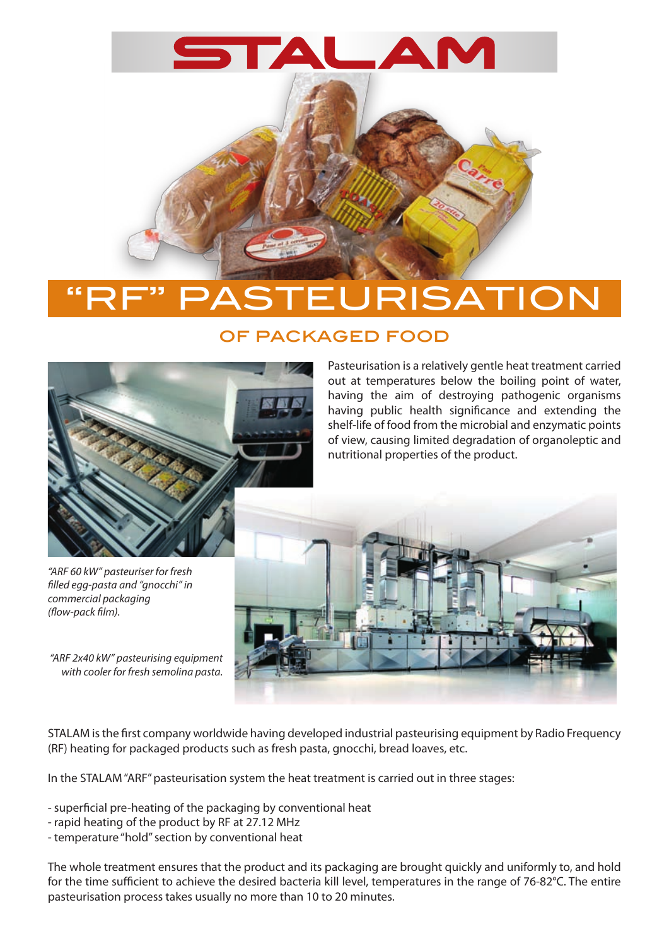

## **RISATIO**

## of packaged food



Pasteurisation is a relatively gentle heat treatment carried out at temperatures below the boiling point of water, having the aim of destroying pathogenic organisms having public health significance and extending the shelf-life of food from the microbial and enzymatic points of view, causing limited degradation of organoleptic and nutritional properties of the product.

*"ARF 60 kW" pasteuriser for fresh filled egg-pasta and "gnocchi" in commercial packaging (flow-pack film).*

*"ARF 2x40 kW" pasteurising equipment with cooler for fresh semolina pasta.*



STALAM is the first company worldwide having developed industrial pasteurising equipment by Radio Frequency (RF) heating for packaged products such as fresh pasta, gnocchi, bread loaves, etc.

In the STALAM "ARF" pasteurisation system the heat treatment is carried out in three stages:

- superficial pre-heating of the packaging by conventional heat

- rapid heating of the product by RF at 27.12 MHz
- temperature "hold" section by conventional heat

The whole treatment ensures that the product and its packaging are brought quickly and uniformly to, and hold for the time sufficient to achieve the desired bacteria kill level, temperatures in the range of 76-82°C. The entire pasteurisation process takes usually no more than 10 to 20 minutes.